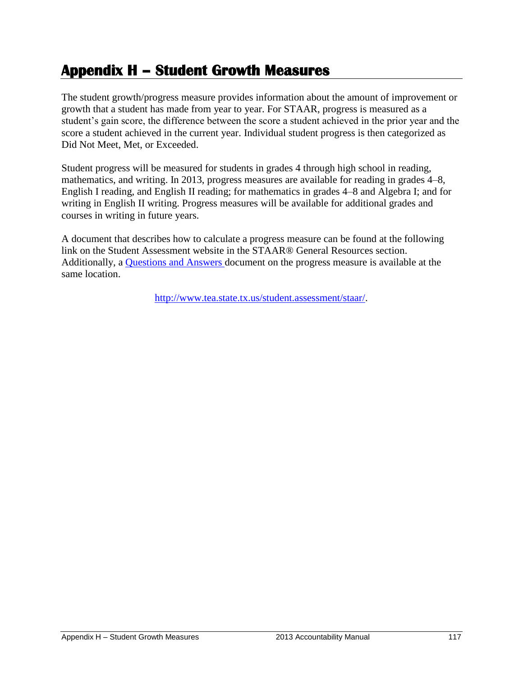## **Appendix H – Student Growth Measures**

The student growth/progress measure provides information about the amount of improvement or growth that a student has made from year to year. For STAAR, progress is measured as a student's gain score, the difference between the score a student achieved in the prior year and the score a student achieved in the current year. Individual student progress is then categorized as Did Not Meet, Met, or Exceeded.

Student progress will be measured for students in grades 4 through high school in reading, mathematics, and writing. In 2013, progress measures are available for reading in grades 4–8, English I reading, and English II reading; for mathematics in grades 4–8 and Algebra I; and for writing in English II writing. Progress measures will be available for additional grades and courses in writing in future years.

A document that describes how to calculate a progress measure can be found at the following link on the Student Assessment website in the STAAR® General Resources section. Additionally, a [Questions and Answers d](http://www.tea.state.tx.us/WorkArea/linkit.aspx?LinkIdentifier=id&ItemID=25769805930&libID=25769805933)ocument on the progress measure is available at the same location.

[http://www.tea.state.tx.us/student.assessment/staar/.](http://www.tea.state.tx.us/student.assessment/staar/)